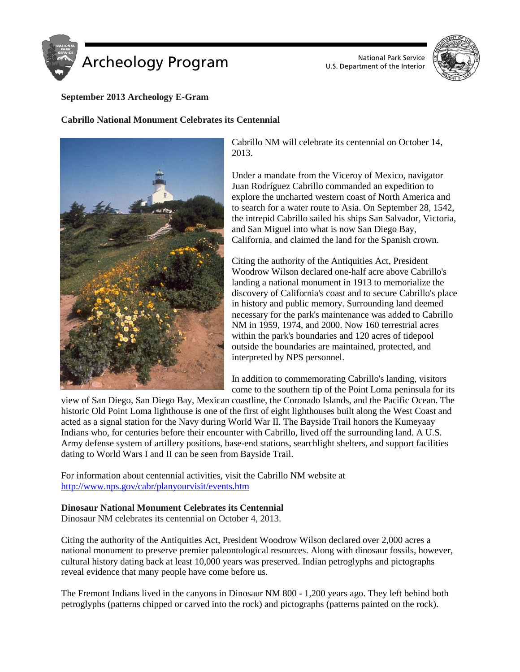



# **September 2013 Archeology E-Gram**

## **Cabrillo National Monument Celebrates its Centennial**



Cabrillo NM will celebrate its centennial on October 14, 2013.

Under a mandate from the Viceroy of Mexico, navigator Juan Rodríguez Cabrillo commanded an expedition to explore the uncharted western coast of North America and to search for a water route to Asia. On September 28, 1542, the intrepid Cabrillo sailed his ships San Salvador, Victoria, and San Miguel into what is now San Diego Bay, California, and claimed the land for the Spanish crown.

Citing the authority of the Antiquities Act, President Woodrow Wilson declared one-half acre above Cabrillo's landing a national monument in 1913 to memorialize the discovery of California's coast and to secure Cabrillo's place in history and public memory. Surrounding land deemed necessary for the park's maintenance was added to Cabrillo NM in 1959, 1974, and 2000. Now 160 terrestrial acres within the park's boundaries and 120 acres of tidepool outside the boundaries are maintained, protected, and interpreted by NPS personnel.

In addition to commemorating Cabrillo's landing, visitors come to the southern tip of the Point Loma peninsula for its

view of San Diego, San Diego Bay, Mexican coastline, the Coronado Islands, and the Pacific Ocean. The historic Old Point Loma lighthouse is one of the first of eight lighthouses built along the West Coast and acted as a signal station for the Navy during World War II. The Bayside Trail honors the Kumeyaay Indians who, for centuries before their encounter with Cabrillo, lived off the surrounding land. A U.S. Army defense system of artillery positions, base-end stations, searchlight shelters, and support facilities dating to World Wars I and II can be seen from Bayside Trail.

For information about centennial activities, visit the Cabrillo NM website at <http://www.nps.gov/cabr/planyourvisit/events.htm>

## **Dinosaur National Monument Celebrates its Centennial**

Dinosaur NM celebrates its centennial on October 4, 2013.

Citing the authority of the Antiquities Act, President Woodrow Wilson declared over 2,000 acres a national monument to preserve premier paleontological resources. Along with dinosaur fossils, however, cultural history dating back at least 10,000 years was preserved. Indian petroglyphs and pictographs reveal evidence that many people have come before us.

The Fremont Indians lived in the canyons in Dinosaur NM 800 - 1,200 years ago. They left behind both petroglyphs (patterns chipped or carved into the rock) and pictographs (patterns painted on the rock).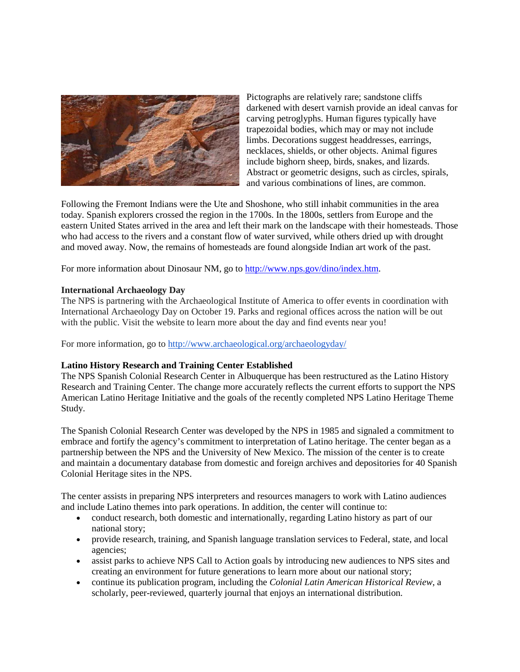

Pictographs are relatively rare; sandstone cliffs darkened with desert varnish provide an ideal canvas for carving petroglyphs. Human figures typically have trapezoidal bodies, which may or may not include limbs. Decorations suggest headdresses, earrings, necklaces, shields, or other objects. Animal figures include bighorn sheep, birds, snakes, and lizards. Abstract or geometric designs, such as circles, spirals, and various combinations of lines, are common.

Following the Fremont Indians were the Ute and Shoshone, who still inhabit communities in the area today. Spanish explorers crossed the region in the 1700s. In the 1800s, settlers from Europe and the eastern United States arrived in the area and left their mark on the landscape with their homesteads. Those who had access to the rivers and a constant flow of water survived, while others dried up with drought and moved away. Now, the remains of homesteads are found alongside Indian art work of the past.

For more information about Dinosaur NM, go to [http://www.nps.gov/dino/index.htm.](http://www.nps.gov/dino/index.htm)

#### **International Archaeology Day**

The NPS is partnering with the Archaeological Institute of America to offer events in coordination with International Archaeology Day on October 19. Parks and regional offices across the nation will be out with the public. Visit the website to learn more about the day and find events near you!

For more information, go to <http://www.archaeological.org/archaeologyday/>

## **Latino History Research and Training Center Established**

The NPS Spanish Colonial Research Center in Albuquerque has been restructured as the Latino History Research and Training Center. The change more accurately reflects the current efforts to support the NPS American Latino Heritage Initiative and the goals of the recently completed NPS Latino Heritage Theme Study.

The Spanish Colonial Research Center was developed by the NPS in 1985 and signaled a commitment to embrace and fortify the agency's commitment to interpretation of Latino heritage. The center began as a partnership between the NPS and the University of New Mexico. The mission of the center is to create and maintain a documentary database from domestic and foreign archives and depositories for 40 Spanish Colonial Heritage sites in the NPS.

The center assists in preparing NPS interpreters and resources managers to work with Latino audiences and include Latino themes into park operations. In addition, the center will continue to:

- conduct research, both domestic and internationally, regarding Latino history as part of our national story;
- provide research, training, and Spanish language translation services to Federal, state, and local agencies;
- assist parks to achieve NPS Call to Action goals by introducing new audiences to NPS sites and creating an environment for future generations to learn more about our national story;
- continue its publication program, including the *Colonial Latin American Historical Review*, a scholarly, peer-reviewed, quarterly journal that enjoys an international distribution.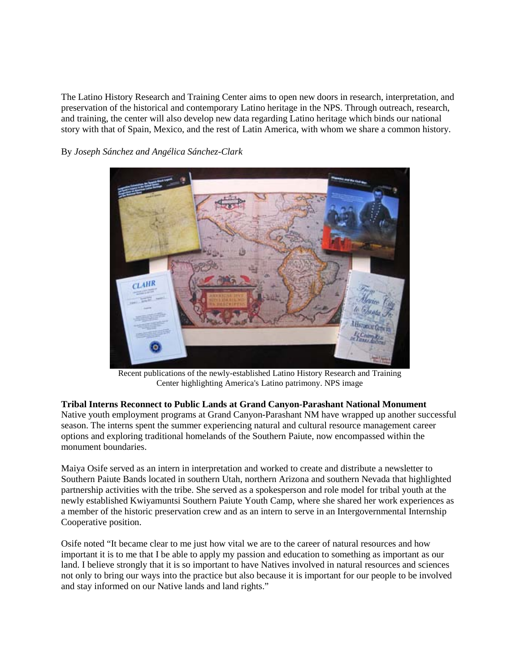The Latino History Research and Training Center aims to open new doors in research, interpretation, and preservation of the historical and contemporary Latino heritage in the NPS. Through outreach, research, and training, the center will also develop new data regarding Latino heritage which binds our national story with that of Spain, Mexico, and the rest of Latin America, with whom we share a common history.

By *Joseph Sánchez and [Angélica Sánchez-Clark](mailto:joseph_sanchez@nps.gov)*



Recent publications of the newly-established Latino History Research and Training Center highlighting America's Latino patrimony. NPS image

## **Tribal Interns Reconnect to Public Lands at Grand Canyon-Parashant National Monument**

Native youth employment programs at Grand Canyon-Parashant NM have wrapped up another successful season. The interns spent the summer experiencing natural and cultural resource management career options and exploring traditional homelands of the Southern Paiute, now encompassed within the monument boundaries.

Maiya Osife served as an intern in interpretation and worked to create and distribute a newsletter to Southern Paiute Bands located in southern Utah, northern Arizona and southern Nevada that highlighted partnership activities with the tribe. She served as a spokesperson and role model for tribal youth at the newly established Kwiyamuntsi Southern Paiute Youth Camp, where she shared her work experiences as a member of the historic preservation crew and as an intern to serve in an Intergovernmental Internship Cooperative position.

Osife noted "It became clear to me just how vital we are to the career of natural resources and how important it is to me that I be able to apply my passion and education to something as important as our land. I believe strongly that it is so important to have Natives involved in natural resources and sciences not only to bring our ways into the practice but also because it is important for our people to be involved and stay informed on our Native lands and land rights."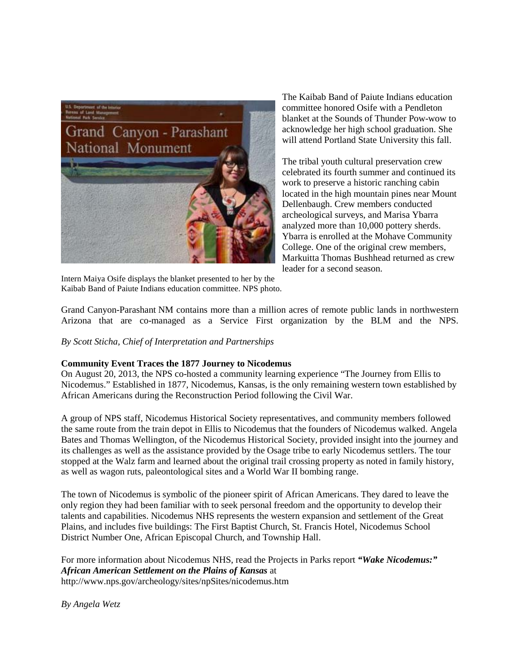

The Kaibab Band of Paiute Indians education committee honored Osife with a Pendleton blanket at the Sounds of Thunder Pow-wow to acknowledge her high school graduation. She will attend Portland State University this fall.

The tribal youth cultural preservation crew celebrated its fourth summer and continued its work to preserve a historic ranching cabin located in the high mountain pines near Mount Dellenbaugh. Crew members conducted archeological surveys, and Marisa Ybarra analyzed more than 10,000 pottery sherds. Ybarra is enrolled at the Mohave Community College. One of the original crew members, Markuitta Thomas Bushhead returned as crew leader for a second season.

Intern Maiya Osife displays the blanket presented to her by the Kaibab Band of Paiute Indians education committee. NPS photo.

Grand Canyon-Parashant NM contains more than a million acres of remote public lands in northwestern Arizona that are co-managed as a Service First organization by the BLM and the NPS.

*By Scott Sticha, Chief of Interpretation and Partnerships*

## **Community Event Traces the 1877 Journey to Nicodemus**

On August 20, 2013, the NPS co-hosted a community learning experience "The Journey from Ellis to Nicodemus." Established in 1877, Nicodemus, Kansas, is the only remaining western town established by African Americans during the Reconstruction Period following the Civil War.

A group of NPS staff, Nicodemus Historical Society representatives, and community members followed the same route from the train depot in Ellis to Nicodemus that the founders of Nicodemus walked. Angela Bates and Thomas Wellington, of the Nicodemus Historical Society, provided insight into the journey and its challenges as well as the assistance provided by the Osage tribe to early Nicodemus settlers. The tour stopped at the Walz farm and learned about the original trail crossing property as noted in family history, as well as wagon ruts, paleontological sites and a World War II bombing range.

The town of Nicodemus is symbolic of the pioneer spirit of African Americans. They dared to leave the only region they had been familiar with to seek personal freedom and the opportunity to develop their talents and capabilities. Nicodemus NHS represents the western expansion and settlement of the Great Plains, and includes five buildings: The First Baptist Church, St. Francis Hotel, Nicodemus School District Number One, African Episcopal Church, and Township Hall.

For more information about Nicodemus NHS, read the Projects in Parks report *"Wake Nicodemus:" African American Settlement on the Plains of Kansas* at http://www.nps.gov/archeology/sites/npSites/nicodemus.htm

*By [Angela Wetz](mailto:Angela_Wetz@nps.gov)*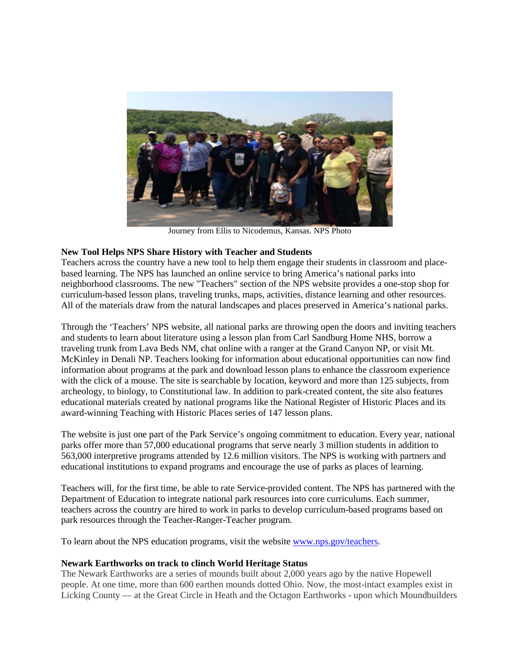

Journey from Ellis to Nicodemus, Kansas. NPS Photo

# **New Tool Helps NPS Share History with Teacher and Students**

Teachers across the country have a new tool to help them engage their students in classroom and placebased learning. The NPS has launched an online service to bring America's national parks into neighborhood classrooms. The new "Teachers" section of the NPS website provides a one-stop shop for curriculum-based lesson plans, traveling trunks, maps, activities, distance learning and other resources. All of the materials draw from the natural landscapes and places preserved in America's national parks.

Through the 'Teachers' NPS website, all national parks are throwing open the doors and inviting teachers and students to learn about literature using a lesson plan from Carl Sandburg Home NHS, borrow a traveling trunk from Lava Beds NM, chat online with a ranger at the Grand Canyon NP, or visit Mt. McKinley in Denali NP. Teachers looking for information about educational opportunities can now find information about programs at the park and download lesson plans to enhance the classroom experience with the click of a mouse. The site is searchable by location, keyword and more than 125 subjects, from archeology, to biology, to Constitutional law. In addition to park-created content, the site also features educational materials created by national programs like the National Register of Historic Places and its award-winning Teaching with Historic Places series of 147 lesson plans.

The website is just one part of the Park Service's ongoing commitment to education. Every year, national parks offer more than 57,000 educational programs that serve nearly 3 million students in addition to 563,000 interpretive programs attended by 12.6 million visitors. The NPS is working with partners and educational institutions to expand programs and encourage the use of parks as places of learning.

Teachers will, for the first time, be able to rate Service-provided content. The NPS has partnered with the Department of Education to integrate national park resources into core curriculums. Each summer, teachers across the country are hired to work in parks to develop curriculum-based programs based on park resources through the Teacher-Ranger-Teacher program.

To learn about the NPS education programs, visit the website [www.nps.gov/teachers.](http://www.nps.gov/teachers)

## **Newark Earthworks on track to clinch World Heritage Status**

The Newark Earthworks are a series of mounds built about 2,000 years ago by the native Hopewell people. At one time, more than 600 earthen mounds dotted Ohio. Now, the most-intact examples exist in Licking County — at the Great Circle in Heath and the Octagon Earthworks - upon which Moundbuilders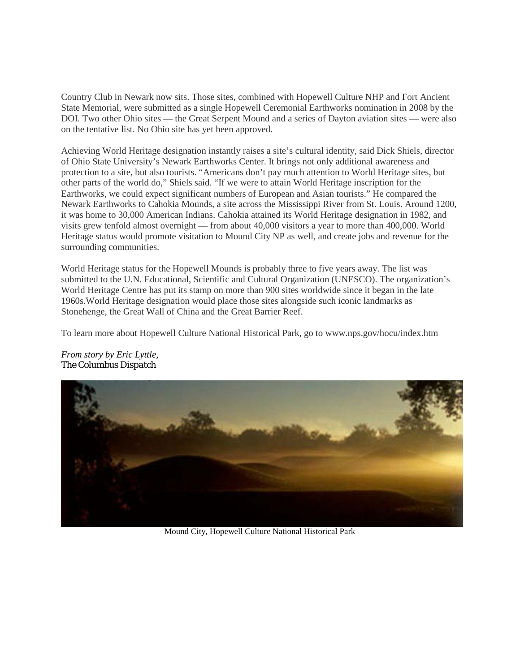Country Club in Newark now sits. Those sites, combined with Hopewell Culture NHP and Fort Ancient State Memorial, were submitted as a single Hopewell Ceremonial Earthworks nomination in 2008 by the DOI. Two other Ohio sites — the Great Serpent Mound and a series of Dayton aviation sites — were also on the tentative list. No Ohio site has yet been approved.

Achieving World Heritage designation instantly raises a site's cultural identity, said Dick Shiels, director of Ohio State University's Newark Earthworks Center. It brings not only additional awareness and protection to a site, but also tourists. "Americans don't pay much attention to World Heritage sites, but other parts of the world do," Shiels said. "If we were to attain World Heritage inscription for the Earthworks, we could expect significant numbers of European and Asian tourists." He compared the Newark Earthworks to Cahokia Mounds, a site across the Mississippi River from St. Louis. Around 1200, it was home to 30,000 American Indians. Cahokia attained its World Heritage designation in 1982, and visits grew tenfold almost overnight — from about 40,000 visitors a year to more than 400,000. World Heritage status would promote visitation to Mound City NP as well, and create jobs and revenue for the surrounding communities.

World Heritage status for the Hopewell Mounds is probably three to five years away. The list was submitted to the U.N. Educational, Scientific and Cultural Organization (UNESCO). The organization's World Heritage Centre has put its stamp on more than 900 sites worldwide since it began in the late 1960s.World Heritage designation would place those sites alongside such iconic landmarks as Stonehenge, the Great Wall of China and the Great Barrier Reef.

To learn more about Hopewell Culture National Historical Park, go to www.nps.gov/hocu/index.htm



*From story by Eric [Lyttle,](https://mail.google.com/mail/?view=cm&fs=1&tf=1&to=elyttle@dispatch.com) The Columbus Dispatch*

Mound City, Hopewell Culture National Historical Park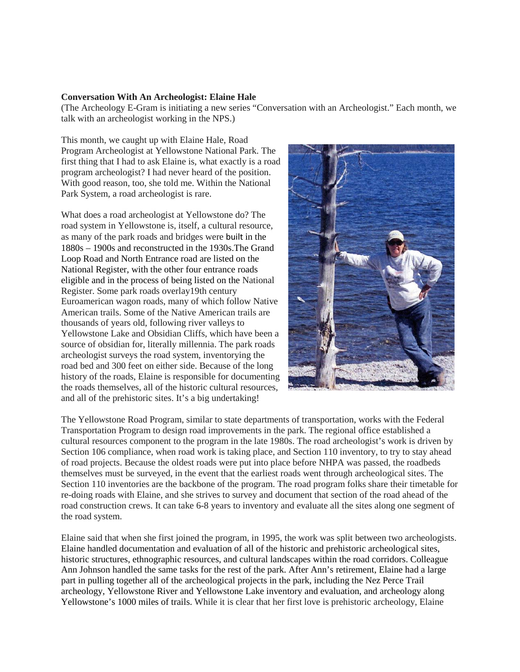#### **Conversation With An Archeologist: Elaine Hale**

(The Archeology E-Gram is initiating a new series "Conversation with an Archeologist." Each month, we talk with an archeologist working in the NPS.)

This month, we caught up with Elaine Hale, Road Program Archeologist at Yellowstone National Park. The first thing that I had to ask Elaine is, what exactly is a road program archeologist? I had never heard of the position. With good reason, too, she told me. Within the National Park System, a road archeologist is rare.

What does a road archeologist at Yellowstone do? The road system in Yellowstone is, itself, a cultural resource, as many of the park roads and bridges were built in the 1880s – 1900s and reconstructed in the 1930s.The Grand Loop Road and North Entrance road are listed on the National Register, with the other four entrance roads eligible and in the process of being listed on the National Register. Some park roads overlay19th century Euroamerican wagon roads, many of which follow Native American trails. Some of the Native American trails are thousands of years old, following river valleys to Yellowstone Lake and Obsidian Cliffs, which have been a source of obsidian for, literally millennia. The park roads archeologist surveys the road system, inventorying the road bed and 300 feet on either side. Because of the long history of the roads, Elaine is responsible for documenting the roads themselves, all of the historic cultural resources, and all of the prehistoric sites. It's a big undertaking!



The Yellowstone Road Program, similar to state departments of transportation, works with the Federal Transportation Program to design road improvements in the park. The regional office established a cultural resources component to the program in the late 1980s. The road archeologist's work is driven by Section 106 compliance, when road work is taking place, and Section 110 inventory, to try to stay ahead of road projects. Because the oldest roads were put into place before NHPA was passed, the roadbeds themselves must be surveyed, in the event that the earliest roads went through archeological sites. The Section 110 inventories are the backbone of the program. The road program folks share their timetable for re-doing roads with Elaine, and she strives to survey and document that section of the road ahead of the road construction crews. It can take 6-8 years to inventory and evaluate all the sites along one segment of the road system.

Elaine said that when she first joined the program, in 1995, the work was split between two archeologists. Elaine handled documentation and evaluation of all of the historic and prehistoric archeological sites, historic structures, ethnographic resources, and cultural landscapes within the road corridors. Colleague Ann Johnson handled the same tasks for the rest of the park. After Ann's retirement, Elaine had a large part in pulling together all of the archeological projects in the park, including the Nez Perce Trail archeology, Yellowstone River and Yellowstone Lake inventory and evaluation, and archeology along Yellowstone's 1000 miles of trails. While it is clear that her first love is prehistoric archeology, Elaine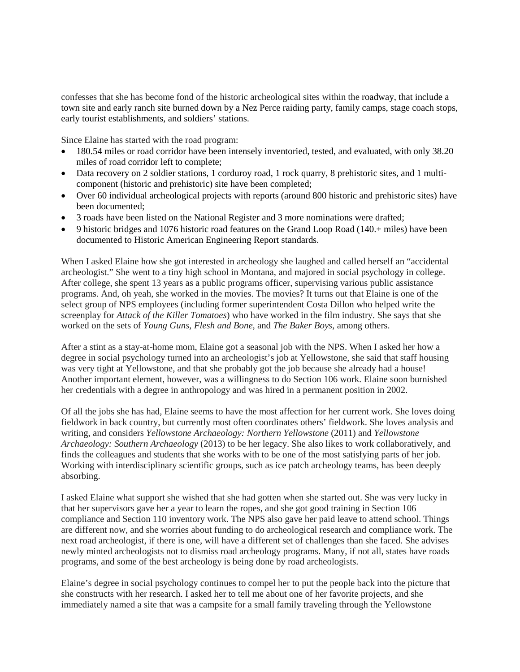confesses that she has become fond of the historic archeological sites within the roadway, that include a town site and early ranch site burned down by a Nez Perce raiding party, family camps, stage coach stops, early tourist establishments, and soldiers' stations.

Since Elaine has started with the road program:

- 180.54 miles or road corridor have been intensely inventoried, tested, and evaluated, with only 38.20 miles of road corridor left to complete;
- Data recovery on 2 soldier stations, 1 corduroy road, 1 rock quarry, 8 prehistoric sites, and 1 multicomponent (historic and prehistoric) site have been completed;
- Over 60 individual archeological projects with reports (around 800 historic and prehistoric sites) have been documented;
- 3 roads have been listed on the National Register and 3 more nominations were drafted;
- 9 historic bridges and 1076 historic road features on the Grand Loop Road (140.+ miles) have been documented to Historic American Engineering Report standards.

When I asked Elaine how she got interested in archeology she laughed and called herself an "accidental archeologist." She went to a tiny high school in Montana, and majored in social psychology in college. After college, she spent 13 years as a public programs officer, supervising various public assistance programs. And, oh yeah, she worked in the movies. The movies? It turns out that Elaine is one of the select group of NPS employees (including former superintendent Costa Dillon who helped write the screenplay for *Attack of the Killer Tomatoes*) who have worked in the film industry. She says that she worked on the sets of *Young Guns, Flesh and Bone,* and *The Baker Boys*, among others.

After a stint as a stay-at-home mom, Elaine got a seasonal job with the NPS. When I asked her how a degree in social psychology turned into an archeologist's job at Yellowstone, she said that staff housing was very tight at Yellowstone, and that she probably got the job because she already had a house! Another important element, however, was a willingness to do Section 106 work. Elaine soon burnished her credentials with a degree in anthropology and was hired in a permanent position in 2002.

Of all the jobs she has had, Elaine seems to have the most affection for her current work. She loves doing fieldwork in back country, but currently most often coordinates others' fieldwork. She loves analysis and writing, and considers *Yellowstone Archaeology: Northern Yellowstone* (2011) and *Yellowstone Archaeology: Southern Archaeology* (2013) to be her legacy. She also likes to work collaboratively, and finds the colleagues and students that she works with to be one of the most satisfying parts of her job. Working with interdisciplinary scientific groups, such as ice patch archeology teams, has been deeply absorbing.

I asked Elaine what support she wished that she had gotten when she started out. She was very lucky in that her supervisors gave her a year to learn the ropes, and she got good training in Section 106 compliance and Section 110 inventory work. The NPS also gave her paid leave to attend school. Things are different now, and she worries about funding to do archeological research and compliance work. The next road archeologist, if there is one, will have a different set of challenges than she faced. She advises newly minted archeologists not to dismiss road archeology programs. Many, if not all, states have roads programs, and some of the best archeology is being done by road archeologists.

Elaine's degree in social psychology continues to compel her to put the people back into the picture that she constructs with her research. I asked her to tell me about one of her favorite projects, and she immediately named a site that was a campsite for a small family traveling through the Yellowstone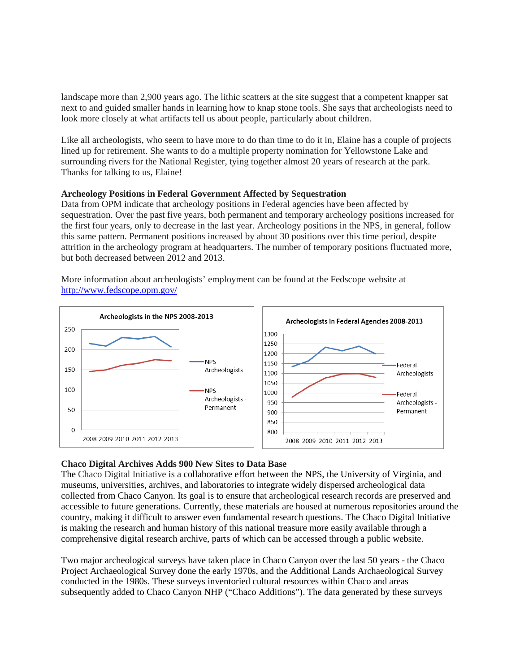landscape more than 2,900 years ago. The lithic scatters at the site suggest that a competent knapper sat next to and guided smaller hands in learning how to knap stone tools. She says that archeologists need to look more closely at what artifacts tell us about people, particularly about children.

Like all archeologists, who seem to have more to do than time to do it in, Elaine has a couple of projects lined up for retirement. She wants to do a multiple property nomination for Yellowstone Lake and surrounding rivers for the National Register, tying together almost 20 years of research at the park. Thanks for talking to us, Elaine!

#### **Archeology Positions in Federal Government Affected by Sequestration**

Data from OPM indicate that archeology positions in Federal agencies have been affected by sequestration. Over the past five years, both permanent and temporary archeology positions increased for the first four years, only to decrease in the last year. Archeology positions in the NPS, in general, follow this same pattern. Permanent positions increased by about 30 positions over this time period, despite attrition in the archeology program at headquarters. The number of temporary positions fluctuated more, but both decreased between 2012 and 2013.

More information about archeologists' employment can be found at the Fedscope website at <http://www.fedscope.opm.gov/>



## **Chaco Digital Archives Adds 900 New Sites to Data Base**

The Chaco Digital Initiative is a collaborative effort between the NPS, the University of Virginia, and museums, universities, archives, and laboratories to integrate widely dispersed archeological data collected from Chaco Canyon. Its goal is to ensure that archeological research records are preserved and accessible to future generations. Currently, these materials are housed at numerous repositories around the country, making it difficult to answer even fundamental research questions. The Chaco Digital Initiative is making the research and human history of this national treasure more easily available through a comprehensive digital research archive, parts of which can be accessed through a public website.

Two major archeological surveys have taken place in Chaco Canyon over the last 50 years - the Chaco Project Archaeological Survey done the early 1970s, and the Additional Lands Archaeological Survey conducted in the 1980s. These surveys inventoried cultural resources within Chaco and areas subsequently added to Chaco Canyon NHP ("Chaco Additions"). The data generated by these surveys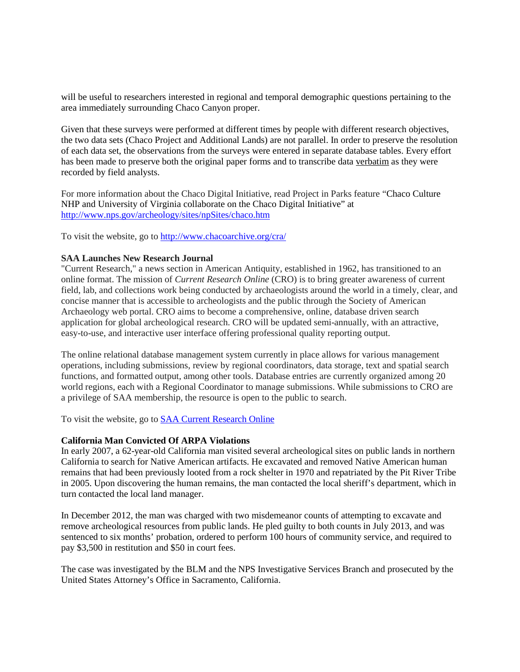will be useful to researchers interested in regional and temporal demographic questions pertaining to the area immediately surrounding Chaco Canyon proper.

Given that these surveys were performed at different times by people with different research objectives, the two data sets (Chaco Project and Additional Lands) are not parallel. In order to preserve the resolution of each data set, the observations from the surveys were entered in separate database tables. Every effort has been made to preserve both the original paper forms and to transcribe data verbatim as they were recorded by field analysts.

For more information about the Chaco Digital Initiative, read Project in Parks feature "Chaco Culture NHP and University of Virginia collaborate on the Chaco Digital Initiative" at <http://www.nps.gov/archeology/sites/npSites/chaco.htm>

To visit the website, go to<http://www.chacoarchive.org/cra/>

## **SAA Launches New Research Journal**

"Current Research," a news section in American Antiquity, established in 1962, has transitioned to an online format. The mission of *Current Research Online* (CRO) is to bring greater awareness of current field, lab, and collections work being conducted by archaeologists around the world in a timely, clear, and concise manner that is accessible to archeologists and the public through the Society of American Archaeology web portal. CRO aims to become a comprehensive, online, database driven search application for global archeological research. CRO will be updated semi-annually, with an attractive, easy-to-use, and interactive user interface offering professional quality reporting output.

The online relational database management system currently in place allows for various management operations, including submissions, review by regional coordinators, data storage, text and spatial search functions, and formatted output, among other tools. Database entries are currently organized among 20 world regions, each with a Regional Coordinator to manage submissions. While submissions to CRO are a privilege of SAA membership, the resource is open to the public to search.

To visit the website, go to [SAA Current Research Online](http://www.saa.org/CurrentResearch/)

#### **California Man Convicted Of ARPA Violations**

In early 2007, a 62-year-old California man visited several archeological sites on public lands in northern California to search for Native American artifacts. He excavated and removed Native American human remains that had been previously looted from a rock shelter in 1970 and repatriated by the Pit River Tribe in 2005. Upon discovering the human remains, the man contacted the local sheriff's department, which in turn contacted the local land manager.

In December 2012, the man was charged with two misdemeanor counts of attempting to excavate and remove archeological resources from public lands. He pled guilty to both counts in July 2013, and was sentenced to six months' probation, ordered to perform 100 hours of community service, and required to pay \$3,500 in restitution and \$50 in court fees.

The case was investigated by the BLM and the NPS Investigative Services Branch and prosecuted by the United States Attorney's Office in Sacramento, California.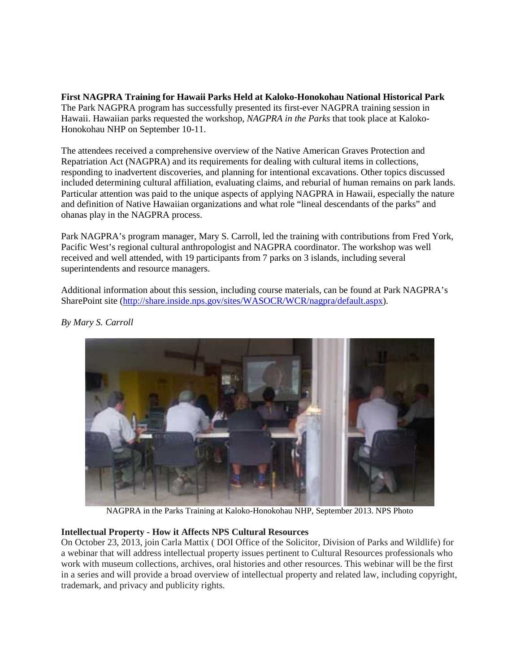**First NAGPRA Training for Hawaii Parks Held at Kaloko-Honokohau National Historical Park** The Park NAGPRA program has successfully presented its first-ever NAGPRA training session in Hawaii. Hawaiian parks requested the workshop, *NAGPRA in the Parks* that took place at Kaloko-Honokohau NHP on September 10-11.

The attendees received a comprehensive overview of the Native American Graves Protection and Repatriation Act (NAGPRA) and its requirements for dealing with cultural items in collections, responding to inadvertent discoveries, and planning for intentional excavations. Other topics discussed included determining cultural affiliation, evaluating claims, and reburial of human remains on park lands. Particular attention was paid to the unique aspects of applying NAGPRA in Hawaii, especially the nature and definition of Native Hawaiian organizations and what role "lineal descendants of the parks" and ohanas play in the NAGPRA process.

Park NAGPRA's program manager, Mary S. Carroll, led the training with contributions from Fred York, Pacific West's regional cultural anthropologist and NAGPRA coordinator. The workshop was well received and well attended, with 19 participants from 7 parks on 3 islands, including several superintendents and resource managers.

Additional information about this session, including course materials, can be found at Park NAGPRA's SharePoint site [\(http://share.inside.nps.gov/sites/WASOCR/WCR/nagpra/default.aspx\)](http://share.inside.nps.gov/sites/WASOCR/WCR/nagpra/default.aspx).



*By Mary S. Carroll*

NAGPRA in the Parks Training at Kaloko-Honokohau NHP, September 2013. NPS Photo

## **Intellectual Property - How it Affects NPS Cultural Resources**

On October 23, 2013, join Carla Mattix ( DOI Office of the Solicitor, Division of Parks and Wildlife) for a webinar that will address intellectual property issues pertinent to Cultural Resources professionals who work with museum collections, archives, oral histories and other resources. This webinar will be the first in a series and will provide a broad overview of intellectual property and related law, including copyright, trademark, and privacy and publicity rights.